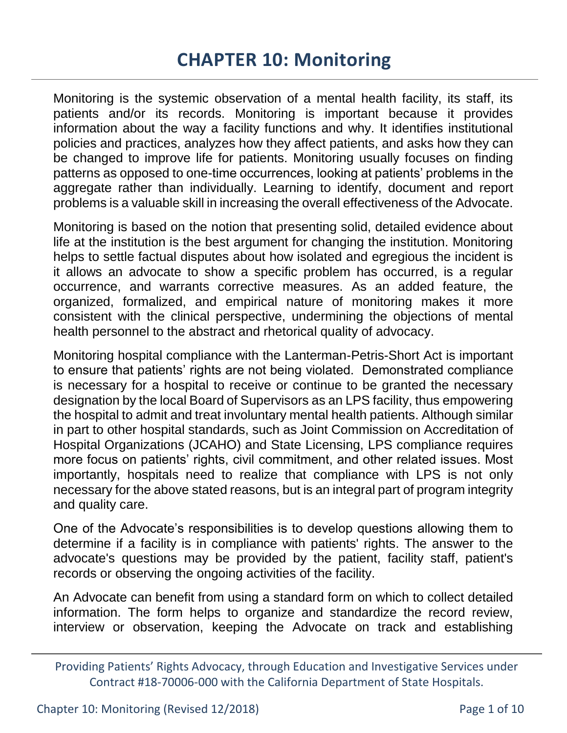# **CHAPTER 10: Monitoring**

Monitoring is the systemic observation of a mental health facility, its staff, its patients and/or its records. Monitoring is important because it provides information about the way a facility functions and why. It identifies institutional policies and practices, analyzes how they affect patients, and asks how they can be changed to improve life for patients. Monitoring usually focuses on finding patterns as opposed to one-time occurrences, looking at patients' problems in the aggregate rather than individually. Learning to identify, document and report problems is a valuable skill in increasing the overall effectiveness of the Advocate.

Monitoring is based on the notion that presenting solid, detailed evidence about life at the institution is the best argument for changing the institution. Monitoring helps to settle factual disputes about how isolated and egregious the incident is it allows an advocate to show a specific problem has occurred, is a regular occurrence, and warrants corrective measures. As an added feature, the organized, formalized, and empirical nature of monitoring makes it more consistent with the clinical perspective, undermining the objections of mental health personnel to the abstract and rhetorical quality of advocacy.

Monitoring hospital compliance with the Lanterman-Petris-Short Act is important to ensure that patients' rights are not being violated. Demonstrated compliance is necessary for a hospital to receive or continue to be granted the necessary designation by the local Board of Supervisors as an LPS facility, thus empowering the hospital to admit and treat involuntary mental health patients. Although similar in part to other hospital standards, such as Joint Commission on Accreditation of Hospital Organizations (JCAHO) and State Licensing, LPS compliance requires more focus on patients' rights, civil commitment, and other related issues. Most importantly, hospitals need to realize that compliance with LPS is not only necessary for the above stated reasons, but is an integral part of program integrity and quality care.

One of the Advocate's responsibilities is to develop questions allowing them to determine if a facility is in compliance with patients' rights. The answer to the advocate's questions may be provided by the patient, facility staff, patient's records or observing the ongoing activities of the facility.

An Advocate can benefit from using a standard form on which to collect detailed information. The form helps to organize and standardize the record review, interview or observation, keeping the Advocate on track and establishing

Providing Patients' Rights Advocacy, through Education and Investigative Services under Contract #18-70006-000 with the California Department of State Hospitals.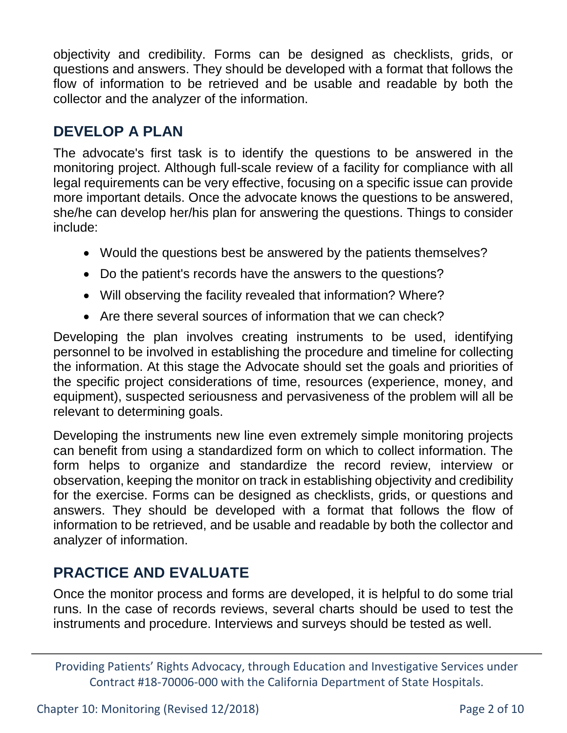objectivity and credibility. Forms can be designed as checklists, grids, or questions and answers. They should be developed with a format that follows the flow of information to be retrieved and be usable and readable by both the collector and the analyzer of the information.

#### **DEVELOP A PLAN**

The advocate's first task is to identify the questions to be answered in the monitoring project. Although full-scale review of a facility for compliance with all legal requirements can be very effective, focusing on a specific issue can provide more important details. Once the advocate knows the questions to be answered, she/he can develop her/his plan for answering the questions. Things to consider include:

- Would the questions best be answered by the patients themselves?
- Do the patient's records have the answers to the questions?
- Will observing the facility revealed that information? Where?
- Are there several sources of information that we can check?

Developing the plan involves creating instruments to be used, identifying personnel to be involved in establishing the procedure and timeline for collecting the information. At this stage the Advocate should set the goals and priorities of the specific project considerations of time, resources (experience, money, and equipment), suspected seriousness and pervasiveness of the problem will all be relevant to determining goals.

Developing the instruments new line even extremely simple monitoring projects can benefit from using a standardized form on which to collect information. The form helps to organize and standardize the record review, interview or observation, keeping the monitor on track in establishing objectivity and credibility for the exercise. Forms can be designed as checklists, grids, or questions and answers. They should be developed with a format that follows the flow of information to be retrieved, and be usable and readable by both the collector and analyzer of information.

# **PRACTICE AND EVALUATE**

Once the monitor process and forms are developed, it is helpful to do some trial runs. In the case of records reviews, several charts should be used to test the instruments and procedure. Interviews and surveys should be tested as well.

Providing Patients' Rights Advocacy, through Education and Investigative Services under Contract #18-70006-000 with the California Department of State Hospitals.

Chapter 10: Monitoring (Revised 12/2018) Page 2 of 10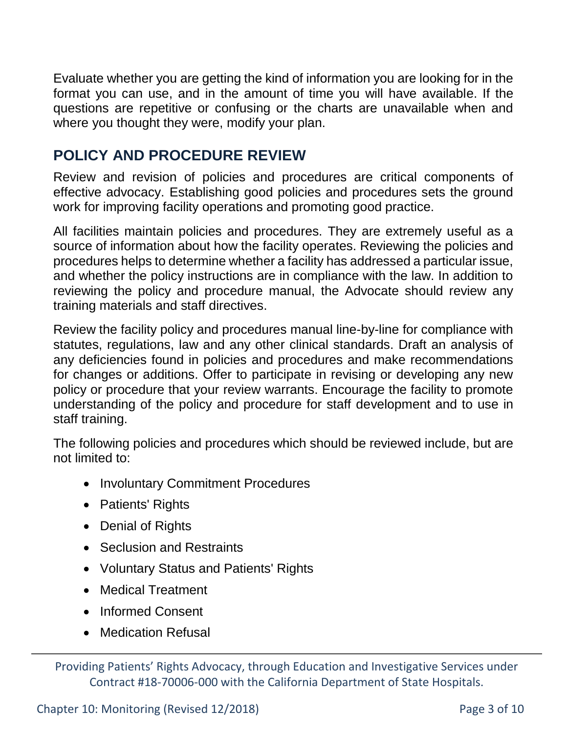Evaluate whether you are getting the kind of information you are looking for in the format you can use, and in the amount of time you will have available. If the questions are repetitive or confusing or the charts are unavailable when and where you thought they were, modify your plan.

### **POLICY AND PROCEDURE REVIEW**

Review and revision of policies and procedures are critical components of effective advocacy. Establishing good policies and procedures sets the ground work for improving facility operations and promoting good practice.

All facilities maintain policies and procedures. They are extremely useful as a source of information about how the facility operates. Reviewing the policies and procedures helps to determine whether a facility has addressed a particular issue, and whether the policy instructions are in compliance with the law. In addition to reviewing the policy and procedure manual, the Advocate should review any training materials and staff directives.

Review the facility policy and procedures manual line-by-line for compliance with statutes, regulations, law and any other clinical standards. Draft an analysis of any deficiencies found in policies and procedures and make recommendations for changes or additions. Offer to participate in revising or developing any new policy or procedure that your review warrants. Encourage the facility to promote understanding of the policy and procedure for staff development and to use in staff training.

The following policies and procedures which should be reviewed include, but are not limited to:

- Involuntary Commitment Procedures
- Patients' Rights
- Denial of Rights
- Seclusion and Restraints
- Voluntary Status and Patients' Rights
- Medical Treatment
- Informed Consent
- Medication Refusal

Providing Patients' Rights Advocacy, through Education and Investigative Services under Contract #18-70006-000 with the California Department of State Hospitals.

Chapter 10: Monitoring (Revised 12/2018) Page 3 of 10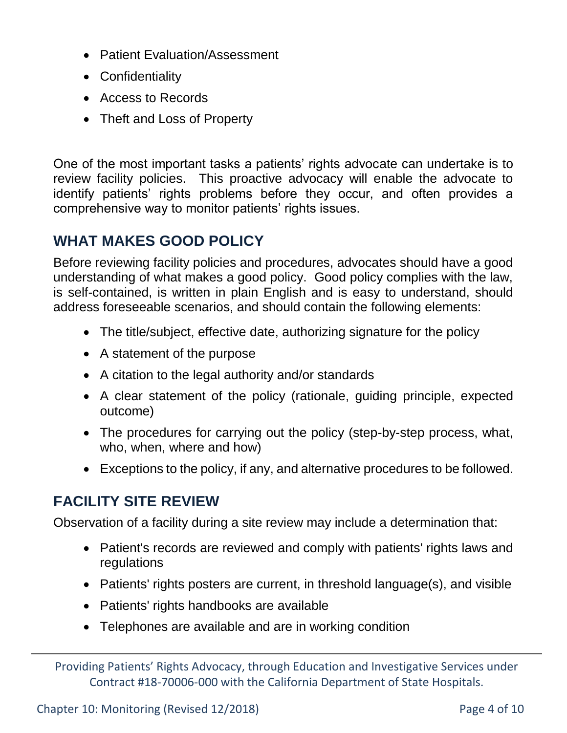- Patient Evaluation/Assessment
- Confidentiality
- Access to Records
- Theft and Loss of Property

One of the most important tasks a patients' rights advocate can undertake is to review facility policies. This proactive advocacy will enable the advocate to identify patients' rights problems before they occur, and often provides a comprehensive way to monitor patients' rights issues.

# **WHAT MAKES GOOD POLICY**

Before reviewing facility policies and procedures, advocates should have a good understanding of what makes a good policy. Good policy complies with the law, is self-contained, is written in plain English and is easy to understand, should address foreseeable scenarios, and should contain the following elements:

- The title/subject, effective date, authorizing signature for the policy
- A statement of the purpose
- A citation to the legal authority and/or standards
- A clear statement of the policy (rationale, guiding principle, expected outcome)
- The procedures for carrying out the policy (step-by-step process, what, who, when, where and how)
- Exceptions to the policy, if any, and alternative procedures to be followed.

# **FACILITY SITE REVIEW**

Observation of a facility during a site review may include a determination that:

- Patient's records are reviewed and comply with patients' rights laws and regulations
- Patients' rights posters are current, in threshold language(s), and visible
- Patients' rights handbooks are available
- Telephones are available and are in working condition

Providing Patients' Rights Advocacy, through Education and Investigative Services under Contract #18-70006-000 with the California Department of State Hospitals.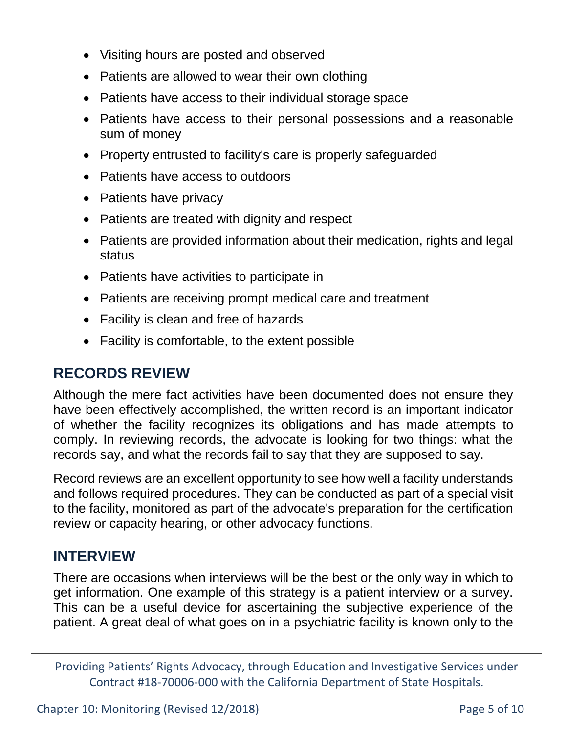- Visiting hours are posted and observed
- Patients are allowed to wear their own clothing
- Patients have access to their individual storage space
- Patients have access to their personal possessions and a reasonable sum of money
- Property entrusted to facility's care is properly safeguarded
- Patients have access to outdoors
- Patients have privacy
- Patients are treated with dignity and respect
- Patients are provided information about their medication, rights and legal status
- Patients have activities to participate in
- Patients are receiving prompt medical care and treatment
- Facility is clean and free of hazards
- Facility is comfortable, to the extent possible

### **RECORDS REVIEW**

Although the mere fact activities have been documented does not ensure they have been effectively accomplished, the written record is an important indicator of whether the facility recognizes its obligations and has made attempts to comply. In reviewing records, the advocate is looking for two things: what the records say, and what the records fail to say that they are supposed to say.

Record reviews are an excellent opportunity to see how well a facility understands and follows required procedures. They can be conducted as part of a special visit to the facility, monitored as part of the advocate's preparation for the certification review or capacity hearing, or other advocacy functions.

# **INTERVIEW**

There are occasions when interviews will be the best or the only way in which to get information. One example of this strategy is a patient interview or a survey. This can be a useful device for ascertaining the subjective experience of the patient. A great deal of what goes on in a psychiatric facility is known only to the

Providing Patients' Rights Advocacy, through Education and Investigative Services under Contract #18-70006-000 with the California Department of State Hospitals.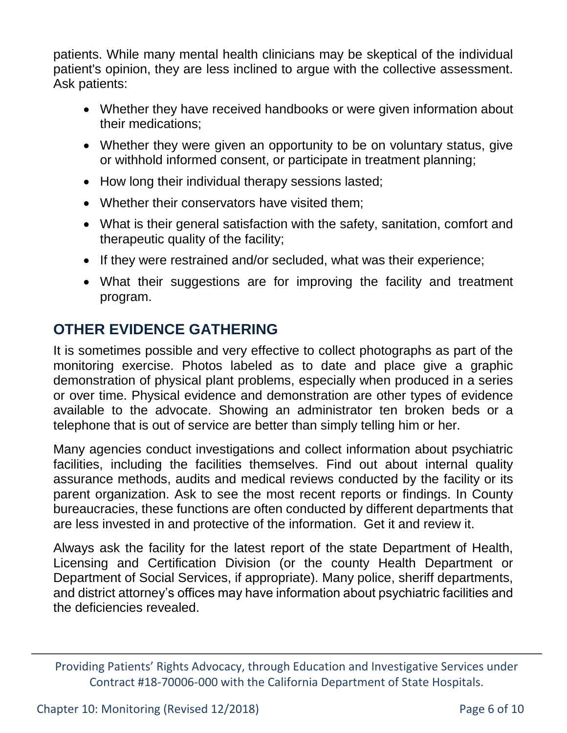patients. While many mental health clinicians may be skeptical of the individual patient's opinion, they are less inclined to argue with the collective assessment. Ask patients:

- Whether they have received handbooks or were given information about their medications;
- Whether they were given an opportunity to be on voluntary status, give or withhold informed consent, or participate in treatment planning;
- How long their individual therapy sessions lasted;
- Whether their conservators have visited them;
- What is their general satisfaction with the safety, sanitation, comfort and therapeutic quality of the facility;
- If they were restrained and/or secluded, what was their experience;
- What their suggestions are for improving the facility and treatment program.

# **OTHER EVIDENCE GATHERING**

It is sometimes possible and very effective to collect photographs as part of the monitoring exercise. Photos labeled as to date and place give a graphic demonstration of physical plant problems, especially when produced in a series or over time. Physical evidence and demonstration are other types of evidence available to the advocate. Showing an administrator ten broken beds or a telephone that is out of service are better than simply telling him or her.

Many agencies conduct investigations and collect information about psychiatric facilities, including the facilities themselves. Find out about internal quality assurance methods, audits and medical reviews conducted by the facility or its parent organization. Ask to see the most recent reports or findings. In County bureaucracies, these functions are often conducted by different departments that are less invested in and protective of the information. Get it and review it.

Always ask the facility for the latest report of the state Department of Health, Licensing and Certification Division (or the county Health Department or Department of Social Services, if appropriate). Many police, sheriff departments, and district attorney's offices may have information about psychiatric facilities and the deficiencies revealed.

Providing Patients' Rights Advocacy, through Education and Investigative Services under Contract #18-70006-000 with the California Department of State Hospitals.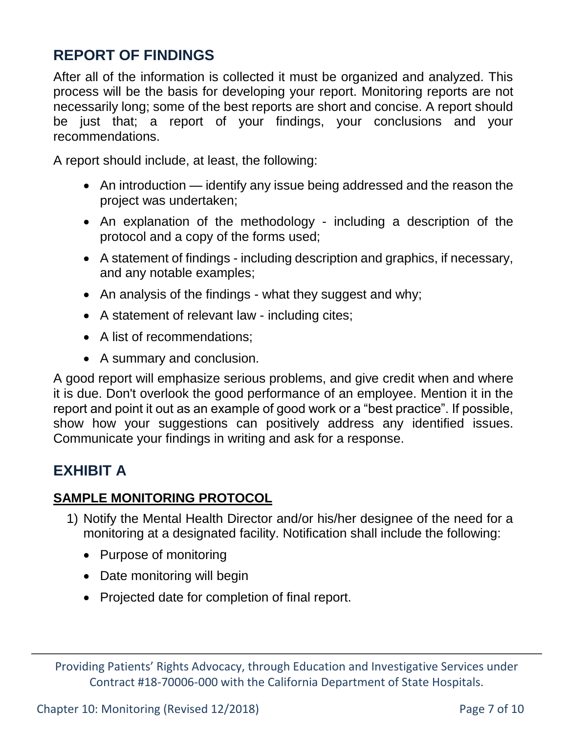# **REPORT OF FINDINGS**

After all of the information is collected it must be organized and analyzed. This process will be the basis for developing your report. Monitoring reports are not necessarily long; some of the best reports are short and concise. A report should be just that; a report of your findings, your conclusions and your recommendations.

A report should include, at least, the following:

- An introduction identify any issue being addressed and the reason the project was undertaken;
- An explanation of the methodology including a description of the protocol and a copy of the forms used;
- A statement of findings including description and graphics, if necessary, and any notable examples;
- An analysis of the findings what they suggest and why;
- A statement of relevant law including cites;
- A list of recommendations;
- A summary and conclusion.

A good report will emphasize serious problems, and give credit when and where it is due. Don't overlook the good performance of an employee. Mention it in the report and point it out as an example of good work or a "best practice". If possible, show how your suggestions can positively address any identified issues. Communicate your findings in writing and ask for a response.

# **EXHIBIT A**

#### **SAMPLE MONITORING PROTOCOL**

- 1) Notify the Mental Health Director and/or his/her designee of the need for a monitoring at a designated facility. Notification shall include the following:
	- Purpose of monitoring
	- Date monitoring will begin
	- Projected date for completion of final report.

Providing Patients' Rights Advocacy, through Education and Investigative Services under Contract #18-70006-000 with the California Department of State Hospitals.

Chapter 10: Monitoring (Revised 12/2018) Page 7 of 10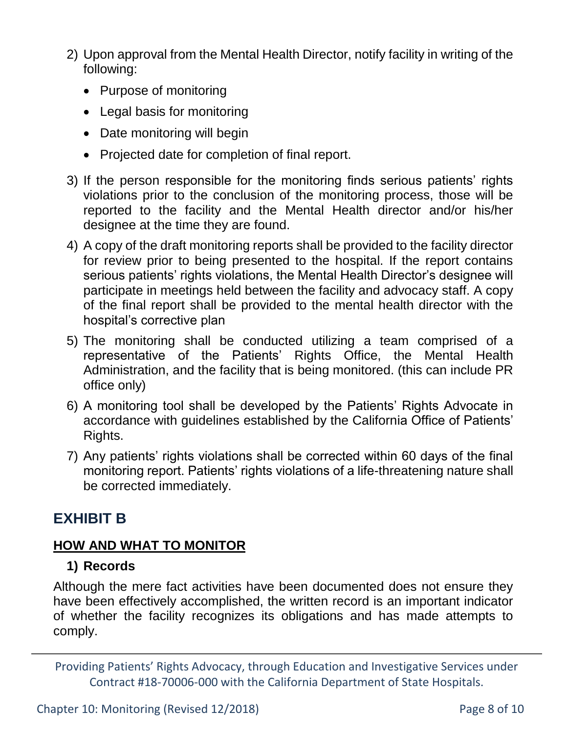- 2) Upon approval from the Mental Health Director, notify facility in writing of the following:
	- Purpose of monitoring
	- Legal basis for monitoring
	- Date monitoring will begin
	- Projected date for completion of final report.
- 3) If the person responsible for the monitoring finds serious patients' rights violations prior to the conclusion of the monitoring process, those will be reported to the facility and the Mental Health director and/or his/her designee at the time they are found.
- 4) A copy of the draft monitoring reports shall be provided to the facility director for review prior to being presented to the hospital. If the report contains serious patients' rights violations, the Mental Health Director's designee will participate in meetings held between the facility and advocacy staff. A copy of the final report shall be provided to the mental health director with the hospital's corrective plan
- 5) The monitoring shall be conducted utilizing a team comprised of a representative of the Patients' Rights Office, the Mental Health Administration, and the facility that is being monitored. (this can include PR office only)
- 6) A monitoring tool shall be developed by the Patients' Rights Advocate in accordance with guidelines established by the California Office of Patients' Rights.
- 7) Any patients' rights violations shall be corrected within 60 days of the final monitoring report. Patients' rights violations of a life-threatening nature shall be corrected immediately.

#### **EXHIBIT B**

#### **HOW AND WHAT TO MONITOR**

#### **1) Records**

Although the mere fact activities have been documented does not ensure they have been effectively accomplished, the written record is an important indicator of whether the facility recognizes its obligations and has made attempts to comply.

Providing Patients' Rights Advocacy, through Education and Investigative Services under Contract #18-70006-000 with the California Department of State Hospitals.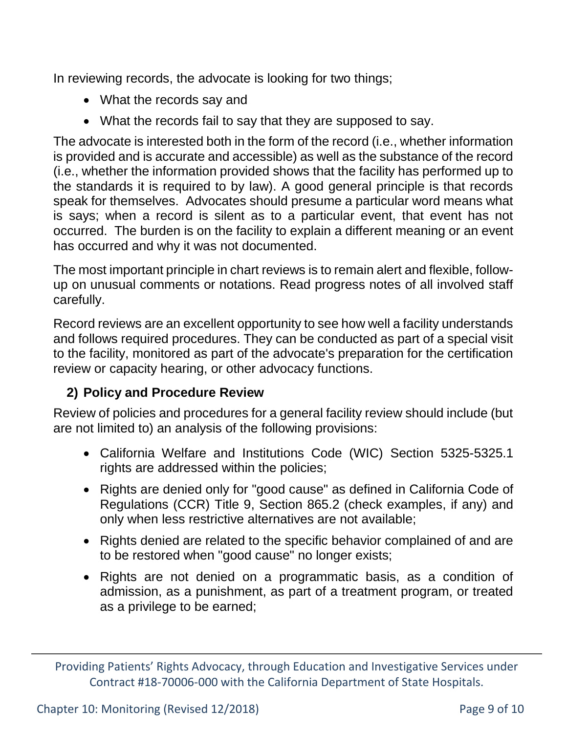In reviewing records, the advocate is looking for two things;

- What the records say and
- What the records fail to say that they are supposed to say.

The advocate is interested both in the form of the record (i.e., whether information is provided and is accurate and accessible) as well as the substance of the record (i.e., whether the information provided shows that the facility has performed up to the standards it is required to by law). A good general principle is that records speak for themselves. Advocates should presume a particular word means what is says; when a record is silent as to a particular event, that event has not occurred. The burden is on the facility to explain a different meaning or an event has occurred and why it was not documented.

The most important principle in chart reviews is to remain alert and flexible, followup on unusual comments or notations. Read progress notes of all involved staff carefully.

Record reviews are an excellent opportunity to see how well a facility understands and follows required procedures. They can be conducted as part of a special visit to the facility, monitored as part of the advocate's preparation for the certification review or capacity hearing, or other advocacy functions.

#### **2) Policy and Procedure Review**

Review of policies and procedures for a general facility review should include (but are not limited to) an analysis of the following provisions:

- California Welfare and Institutions Code (WIC) Section 5325-5325.1 rights are addressed within the policies;
- Rights are denied only for "good cause" as defined in California Code of Regulations (CCR) Title 9, Section 865.2 (check examples, if any) and only when less restrictive alternatives are not available;
- Rights denied are related to the specific behavior complained of and are to be restored when "good cause" no longer exists;
- Rights are not denied on a programmatic basis, as a condition of admission, as a punishment, as part of a treatment program, or treated as a privilege to be earned;

Providing Patients' Rights Advocacy, through Education and Investigative Services under Contract #18-70006-000 with the California Department of State Hospitals.